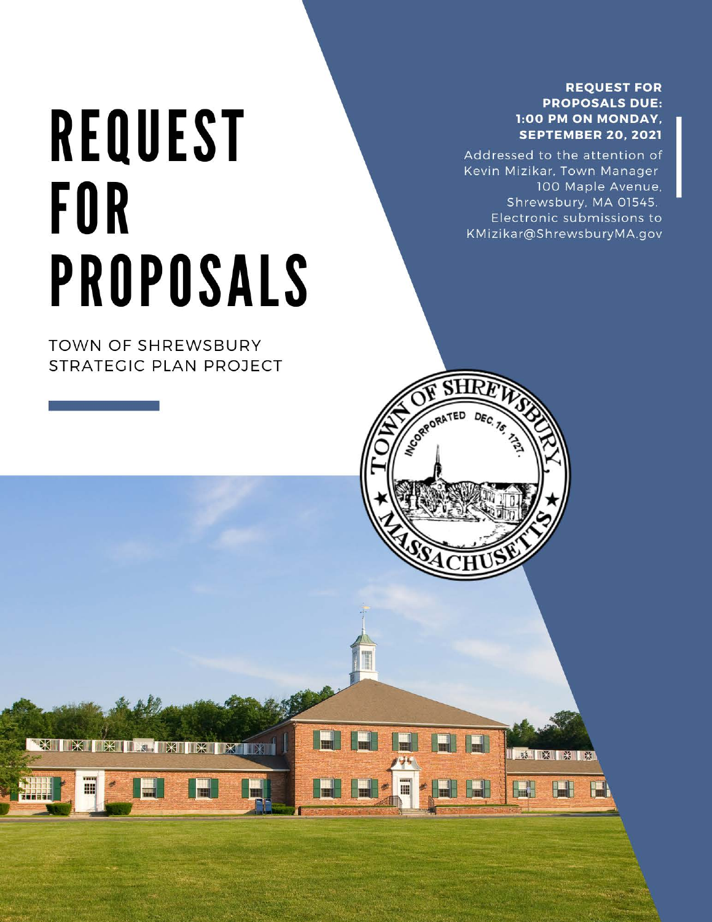## **REQUEST FOR PROPOSALS DUE:** 1:00 PM ON MONDAY, **SEPTEMBER 20, 2021**

Addressed to the attention of Kevin Mizikar, Town Manager 100 Maple Avenue, Shrewsbury, MA 01545. Electronic submissions to KMizikar@ShrewsburyMA.gov

**X X X** 

**THE R** 

PEN

CORPORATED

# **REQUEST FOR PROPOSALS**

**TOWN OF SHREWSBURY** STRATEGIC PLAN PROJECT

冊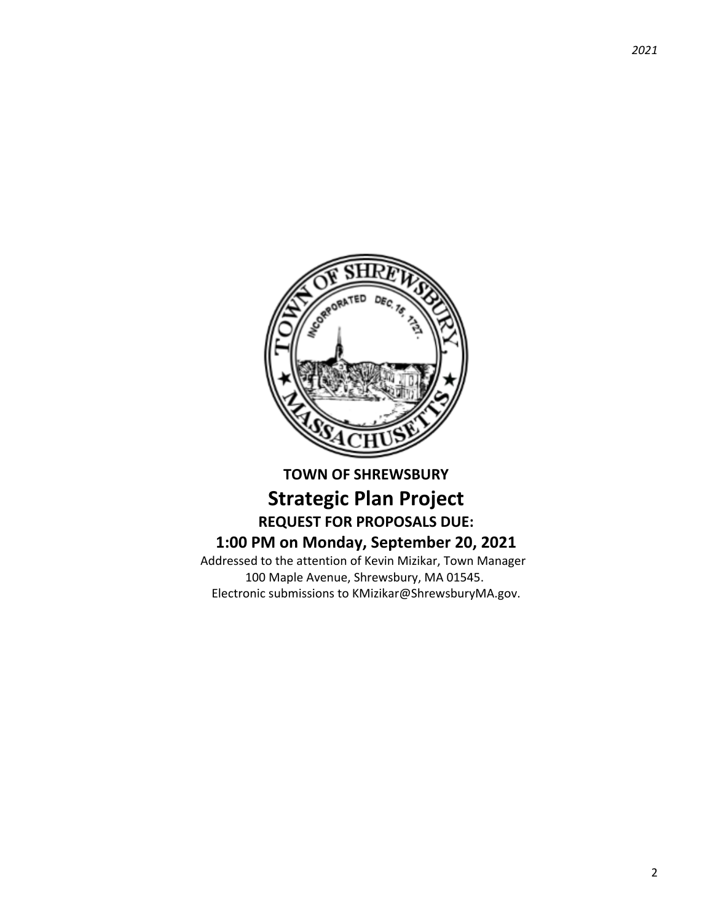

# **TOWN OF SHREWSBURY Strategic Plan Project REQUEST FOR PROPOSALS DUE: 1:00 PM on Monday, September 20, 2021**

Addressed to the attention of Kevin Mizikar, Town Manager 100 Maple Avenue, Shrewsbury, MA 01545. Electronic submissions to KMizikar@ShrewsburyMA.gov.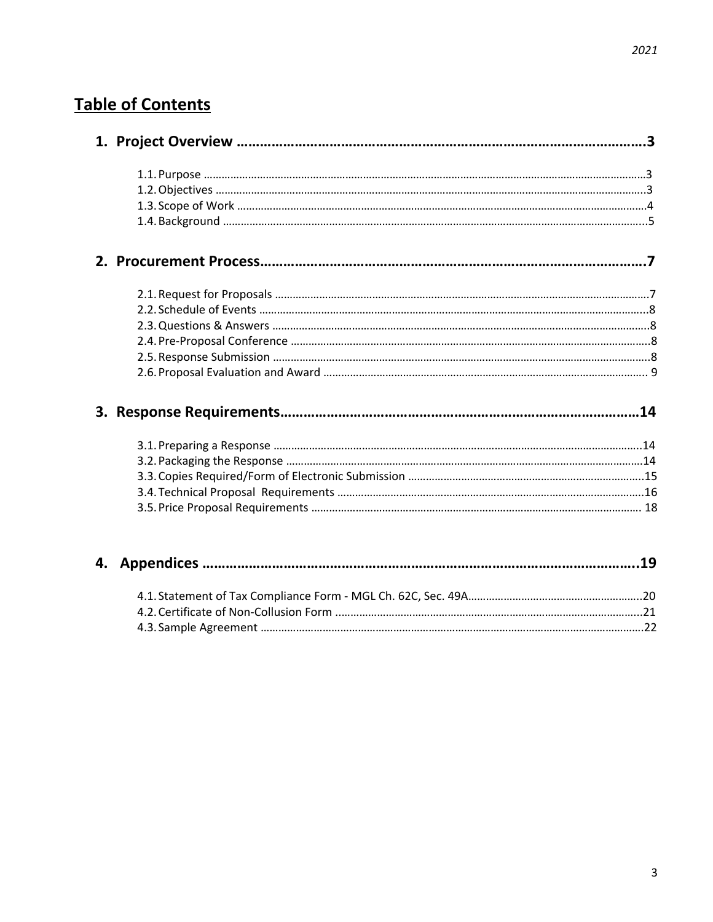# **Table of Contents**

4.2.Certificate of Non-Collusion Form ..………………………………………………………………………………………...21 4.3. Sample Agreement ………………………………………………………………………………………………………………….22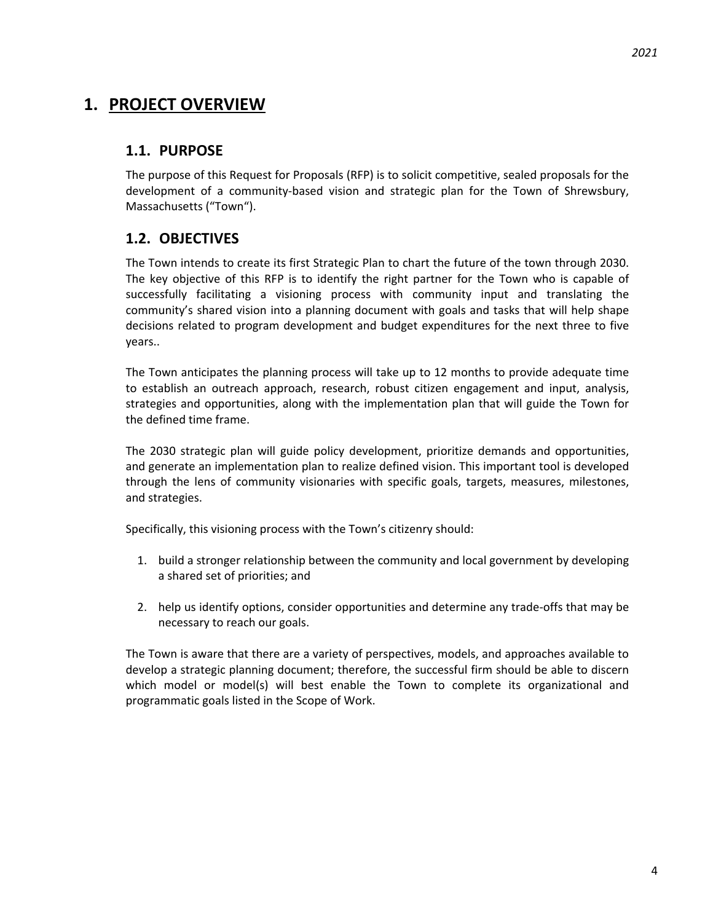# **1. PROJECT OVERVIEW**

# **1.1. PURPOSE**

The purpose of this Request for Proposals (RFP) is to solicit competitive, sealed proposals for the development of a community-based vision and strategic plan for the Town of Shrewsbury, Massachusetts ("Town").

# **1.2. OBJECTIVES**

The Town intends to create its first Strategic Plan to chart the future of the town through 2030. The key objective of this RFP is to identify the right partner for the Town who is capable of successfully facilitating a visioning process with community input and translating the community's shared vision into a planning document with goals and tasks that will help shape decisions related to program development and budget expenditures for the next three to five years..

The Town anticipates the planning process will take up to 12 months to provide adequate time to establish an outreach approach, research, robust citizen engagement and input, analysis, strategies and opportunities, along with the implementation plan that will guide the Town for the defined time frame.

The 2030 strategic plan will guide policy development, prioritize demands and opportunities, and generate an implementation plan to realize defined vision. This important tool is developed through the lens of community visionaries with specific goals, targets, measures, milestones, and strategies.

Specifically, this visioning process with the Town's citizenry should:

- 1. build a stronger relationship between the community and local government by developing a shared set of priorities; and
- 2. help us identify options, consider opportunities and determine any trade-offs that may be necessary to reach our goals.

The Town is aware that there are a variety of perspectives, models, and approaches available to develop a strategic planning document; therefore, the successful firm should be able to discern which model or model(s) will best enable the Town to complete its organizational and programmatic goals listed in the Scope of Work.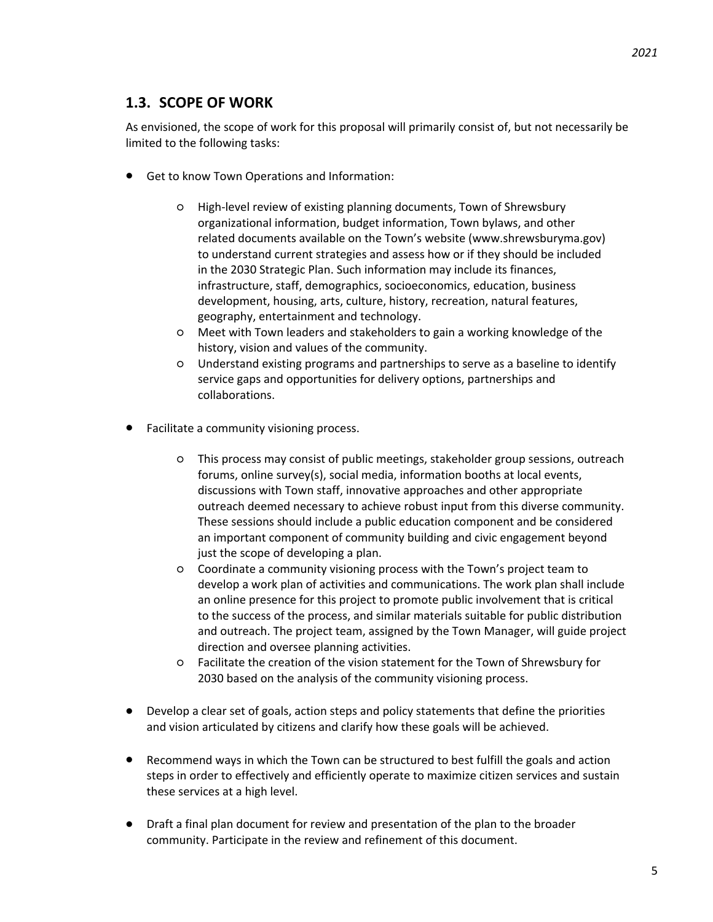# **1.3. SCOPE OF WORK**

As envisioned, the scope of work for this proposal will primarily consist of, but not necessarily be limited to the following tasks:

- Get to know Town Operations and Information:
	- High-level review of existing planning documents, Town of Shrewsbury organizational information, budget information, Town bylaws, and other related documents available on the Town's website (www.shrewsburyma.gov) to understand current strategies and assess how or if they should be included in the 2030 Strategic Plan. Such information may include its finances, infrastructure, staff, demographics, socioeconomics, education, business development, housing, arts, culture, history, recreation, natural features, geography, entertainment and technology.
	- Meet with Town leaders and stakeholders to gain a working knowledge of the history, vision and values of the community.
	- Understand existing programs and partnerships to serve as a baseline to identify service gaps and opportunities for delivery options, partnerships and collaborations.
- Facilitate a community visioning process.
	- This process may consist of public meetings, stakeholder group sessions, outreach forums, online survey(s), social media, information booths at local events, discussions with Town staff, innovative approaches and other appropriate outreach deemed necessary to achieve robust input from this diverse community. These sessions should include a public education component and be considered an important component of community building and civic engagement beyond just the scope of developing a plan.
	- Coordinate a community visioning process with the Town's project team to develop a work plan of activities and communications. The work plan shall include an online presence for this project to promote public involvement that is critical to the success of the process, and similar materials suitable for public distribution and outreach. The project team, assigned by the Town Manager, will guide project direction and oversee planning activities.
	- Facilitate the creation of the vision statement for the Town of Shrewsbury for 2030 based on the analysis of the community visioning process.
- Develop a clear set of goals, action steps and policy statements that define the priorities and vision articulated by citizens and clarify how these goals will be achieved.
- Recommend ways in which the Town can be structured to best fulfill the goals and action steps in order to effectively and efficiently operate to maximize citizen services and sustain these services at a high level.
- Draft a final plan document for review and presentation of the plan to the broader community. Participate in the review and refinement of this document.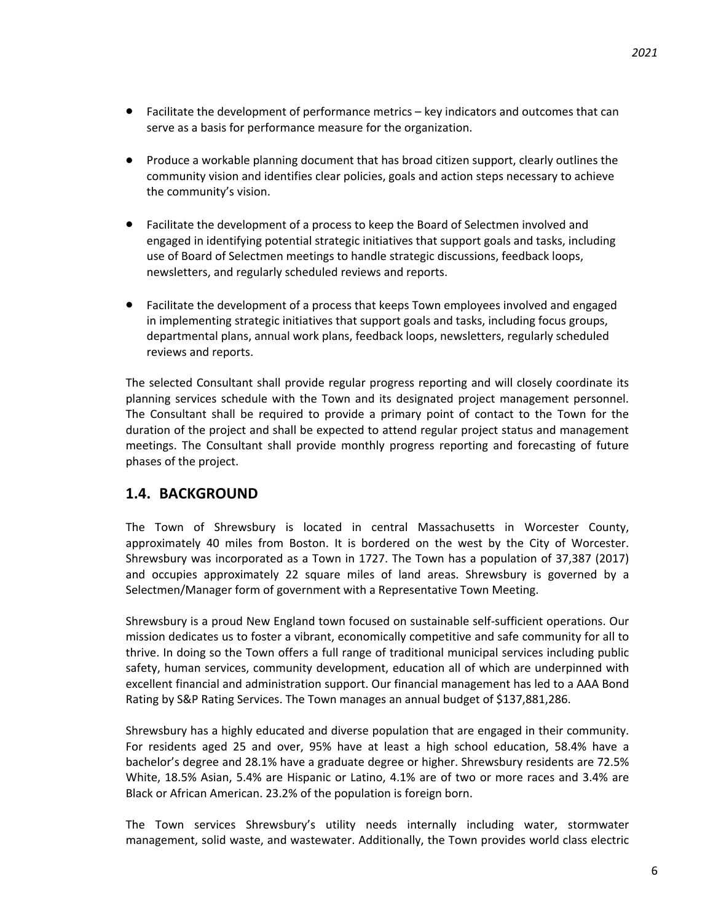- Facilitate the development of performance metrics key indicators and outcomes that can serve as a basis for performance measure for the organization.
- Produce a workable planning document that has broad citizen support, clearly outlines the community vision and identifies clear policies, goals and action steps necessary to achieve the community's vision.
- Facilitate the development of a process to keep the Board of Selectmen involved and engaged in identifying potential strategic initiatives that support goals and tasks, including use of Board of Selectmen meetings to handle strategic discussions, feedback loops, newsletters, and regularly scheduled reviews and reports.
- Facilitate the development of a process that keeps Town employees involved and engaged in implementing strategic initiatives that support goals and tasks, including focus groups, departmental plans, annual work plans, feedback loops, newsletters, regularly scheduled reviews and reports.

The selected Consultant shall provide regular progress reporting and will closely coordinate its planning services schedule with the Town and its designated project management personnel. The Consultant shall be required to provide a primary point of contact to the Town for the duration of the project and shall be expected to attend regular project status and management meetings. The Consultant shall provide monthly progress reporting and forecasting of future phases of the project.

# **1.4. BACKGROUND**

The Town of Shrewsbury is located in central Massachusetts in Worcester County, approximately 40 miles from Boston. It is bordered on the west by the City of Worcester. Shrewsbury was incorporated as a Town in 1727. The Town has a population of 37,387 (2017) and occupies approximately 22 square miles of land areas. Shrewsbury is governed by a Selectmen/Manager form of government with a Representative Town Meeting.

Shrewsbury is a proud New England town focused on sustainable self-sufficient operations. Our mission dedicates us to foster a vibrant, economically competitive and safe community for all to thrive. In doing so the Town offers a full range of traditional municipal services including public safety, human services, community development, education all of which are underpinned with excellent financial and administration support. Our financial management has led to a AAA Bond Rating by S&P Rating Services. The Town manages an annual budget of \$137,881,286.

Shrewsbury has a highly educated and diverse population that are engaged in their community. For residents aged 25 and over, 95% have at least a high school education, 58.4% have a bachelor's degree and 28.1% have a graduate degree or higher. Shrewsbury residents are 72.5% White, 18.5% Asian, 5.4% are Hispanic or Latino, 4.1% are of two or more races and 3.4% are Black or African American. 23.2% of the population is foreign born.

The Town services Shrewsbury's utility needs internally including water, stormwater management, solid waste, and wastewater. Additionally, the Town provides world class electric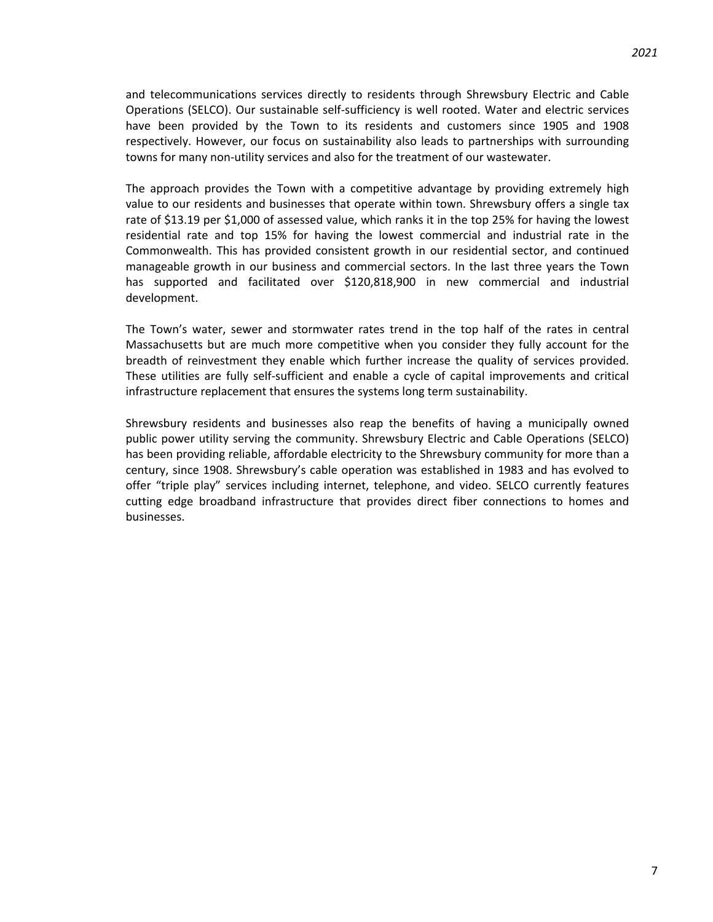and telecommunications services directly to residents through Shrewsbury Electric and Cable Operations (SELCO). Our sustainable self-sufficiency is well rooted. Water and electric services have been provided by the Town to its residents and customers since 1905 and 1908 respectively. However, our focus on sustainability also leads to partnerships with surrounding towns for many non-utility services and also for the treatment of our wastewater.

The approach provides the Town with a competitive advantage by providing extremely high value to our residents and businesses that operate within town. Shrewsbury offers a single tax rate of \$13.19 per \$1,000 of assessed value, which ranks it in the top 25% for having the lowest residential rate and top 15% for having the lowest commercial and industrial rate in the Commonwealth. This has provided consistent growth in our residential sector, and continued manageable growth in our business and commercial sectors. In the last three years the Town has supported and facilitated over \$120,818,900 in new commercial and industrial development.

The Town's water, sewer and stormwater rates trend in the top half of the rates in central Massachusetts but are much more competitive when you consider they fully account for the breadth of reinvestment they enable which further increase the quality of services provided. These utilities are fully self-sufficient and enable a cycle of capital improvements and critical infrastructure replacement that ensures the systems long term sustainability.

Shrewsbury residents and businesses also reap the benefits of having a municipally owned public power utility serving the community. Shrewsbury Electric and Cable Operations (SELCO) has been providing reliable, affordable electricity to the Shrewsbury community for more than a century, since 1908. Shrewsbury's cable operation was established in 1983 and has evolved to offer "triple play" services including internet, telephone, and video. SELCO currently features cutting edge broadband infrastructure that provides direct fiber connections to homes and businesses.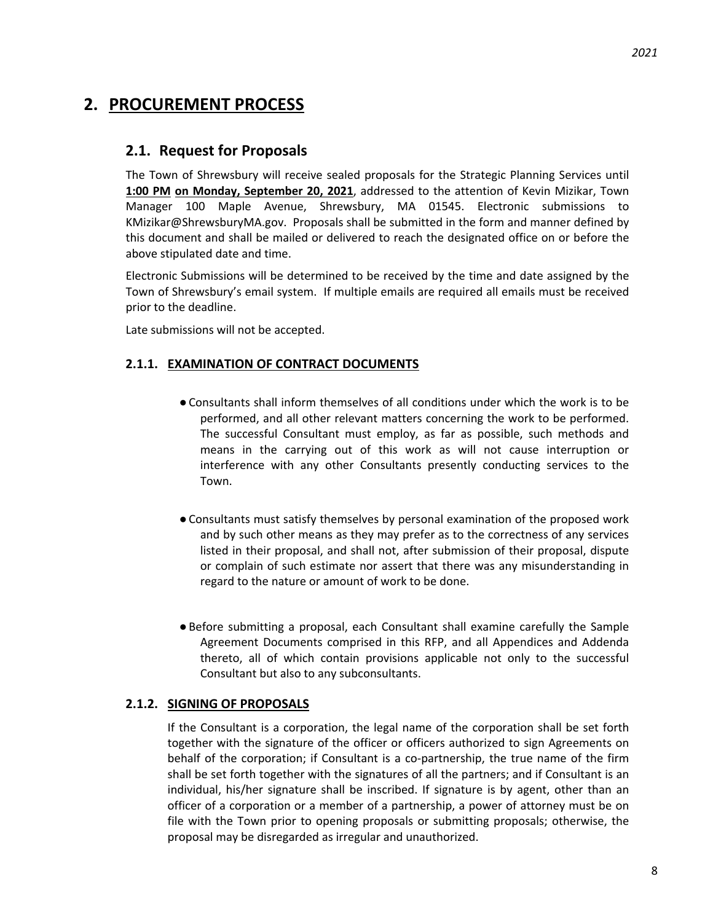# **2. PROCUREMENT PROCESS**

# **2.1. Request for Proposals**

The Town of Shrewsbury will receive sealed proposals for the Strategic Planning Services until **1:00 PM on Monday, September 20, 2021**, addressed to the attention of Kevin Mizikar, Town Manager 100 Maple Avenue, Shrewsbury, MA 01545. Electronic submissions to KMizikar@ShrewsburyMA.gov. Proposals shall be submitted in the form and manner defined by this document and shall be mailed or delivered to reach the designated office on or before the above stipulated date and time.

Electronic Submissions will be determined to be received by the time and date assigned by the Town of Shrewsbury's email system. If multiple emails are required all emails must be received prior to the deadline.

Late submissions will not be accepted.

## **2.1.1. EXAMINATION OF CONTRACT DOCUMENTS**

- ●Consultants shall inform themselves of all conditions under which the work is to be performed, and all other relevant matters concerning the work to be performed. The successful Consultant must employ, as far as possible, such methods and means in the carrying out of this work as will not cause interruption or interference with any other Consultants presently conducting services to the Town.
- ●Consultants must satisfy themselves by personal examination of the proposed work and by such other means as they may prefer as to the correctness of any services listed in their proposal, and shall not, after submission of their proposal, dispute or complain of such estimate nor assert that there was any misunderstanding in regard to the nature or amount of work to be done.
- ●Before submitting a proposal, each Consultant shall examine carefully the Sample Agreement Documents comprised in this RFP, and all Appendices and Addenda thereto, all of which contain provisions applicable not only to the successful Consultant but also to any subconsultants.

### **2.1.2. SIGNING OF PROPOSALS**

If the Consultant is a corporation, the legal name of the corporation shall be set forth together with the signature of the officer or officers authorized to sign Agreements on behalf of the corporation; if Consultant is a co-partnership, the true name of the firm shall be set forth together with the signatures of all the partners; and if Consultant is an individual, his/her signature shall be inscribed. If signature is by agent, other than an officer of a corporation or a member of a partnership, a power of attorney must be on file with the Town prior to opening proposals or submitting proposals; otherwise, the proposal may be disregarded as irregular and unauthorized.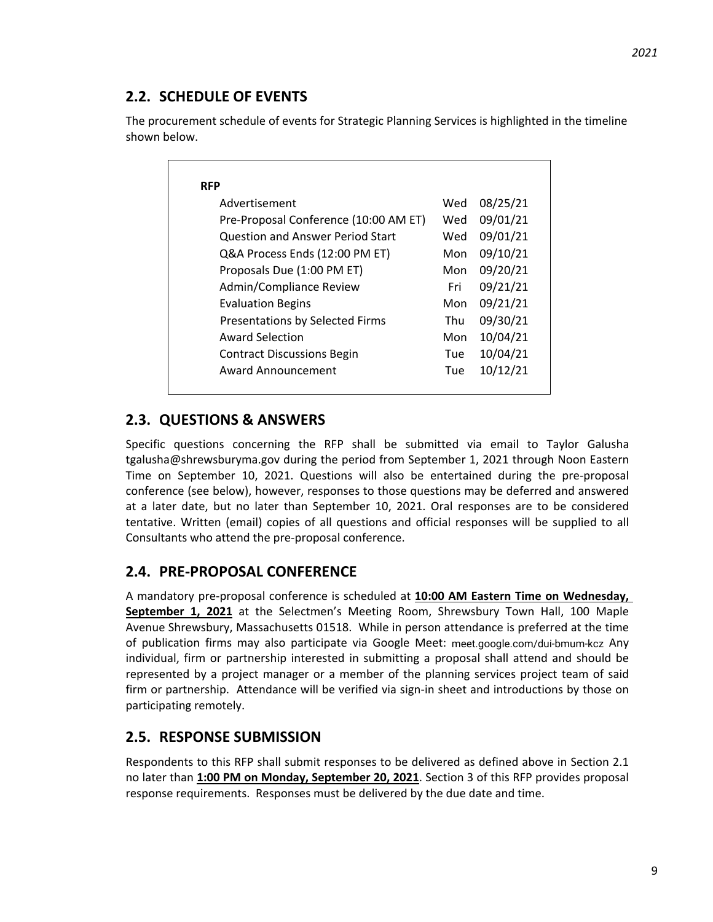# **2.2. SCHEDULE OF EVENTS**

The procurement schedule of events for Strategic Planning Services is highlighted in the timeline shown below.

| 09/01/21<br>Pre-Proposal Conference (10:00 AM ET)<br>Wed<br>09/01/21<br><b>Question and Answer Period Start</b><br>Wed<br>09/10/21<br>Q&A Process Ends (12:00 PM ET)<br>Mon<br>09/20/21<br>Proposals Due (1:00 PM ET)<br>Mon<br>09/21/21<br>Admin/Compliance Review<br>Fri<br>09/21/21<br><b>Evaluation Begins</b><br>Mon<br>09/30/21<br>Presentations by Selected Firms<br>Thu<br>10/04/21<br>Award Selection<br>Mon |
|-----------------------------------------------------------------------------------------------------------------------------------------------------------------------------------------------------------------------------------------------------------------------------------------------------------------------------------------------------------------------------------------------------------------------|
|                                                                                                                                                                                                                                                                                                                                                                                                                       |
|                                                                                                                                                                                                                                                                                                                                                                                                                       |
|                                                                                                                                                                                                                                                                                                                                                                                                                       |
|                                                                                                                                                                                                                                                                                                                                                                                                                       |
|                                                                                                                                                                                                                                                                                                                                                                                                                       |
|                                                                                                                                                                                                                                                                                                                                                                                                                       |
|                                                                                                                                                                                                                                                                                                                                                                                                                       |
|                                                                                                                                                                                                                                                                                                                                                                                                                       |
| 10/04/21<br><b>Contract Discussions Begin</b><br>Tue                                                                                                                                                                                                                                                                                                                                                                  |
| 10/12/21<br>Award Announcement<br>Tue                                                                                                                                                                                                                                                                                                                                                                                 |

# **2.3. QUESTIONS & ANSWERS**

Specific questions concerning the RFP shall be submitted via email to Taylor Galusha tgalusha@shrewsburyma.gov during the period from September 1, 2021 through Noon Eastern Time on September 10, 2021. Questions will also be entertained during the pre-proposal conference (see below), however, responses to those questions may be deferred and answered at a later date, but no later than September 10, 2021. Oral responses are to be considered tentative. Written (email) copies of all questions and official responses will be supplied to all Consultants who attend the pre-proposal conference.

# **2.4. PRE-PROPOSAL CONFERENCE**

A mandatory pre-proposal conference is scheduled at **10:00 AM Eastern Time on Wednesday,** September 1, 2021 at the Selectmen's Meeting Room, Shrewsbury Town Hall, 100 Maple Avenue Shrewsbury, Massachusetts 01518. While in person attendance is preferred at the time of publication firms may also participate via Google Meet: meet.google.com/dui-bmum-kcz Any individual, firm or partnership interested in submitting a proposal shall attend and should be represented by a project manager or a member of the planning services project team of said firm or partnership. Attendance will be verified via sign-in sheet and introductions by those on participating remotely.

# **2.5. RESPONSE SUBMISSION**

Respondents to this RFP shall submit responses to be delivered as defined above in Section 2.1 no later than **1:00 PM on Monday, September 20, 2021**. Section 3 of this RFP provides proposal response requirements. Responses must be delivered by the due date and time.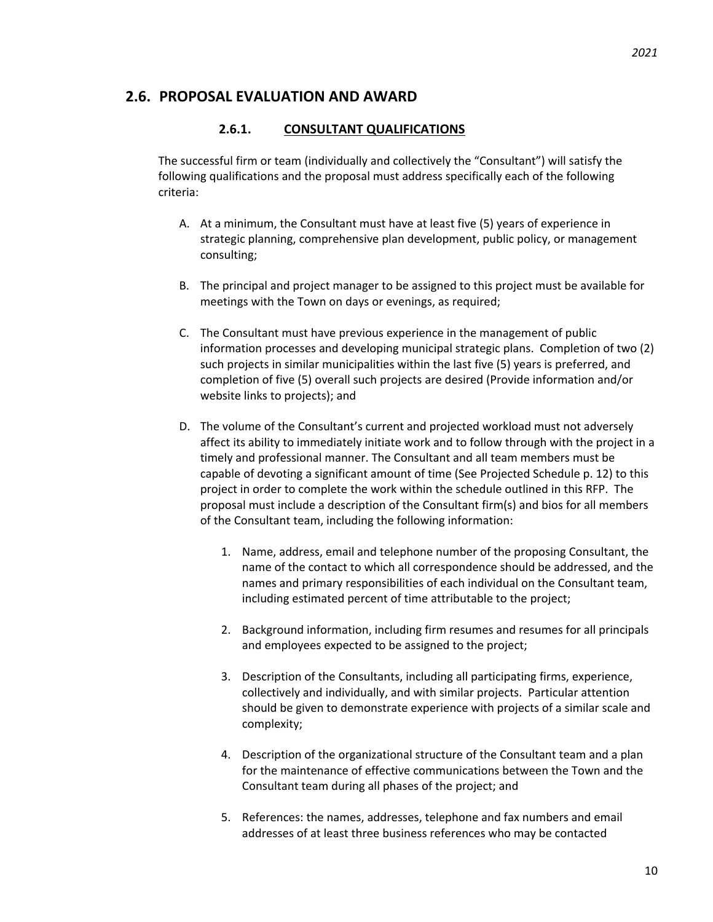### **2.6. PROPOSAL EVALUATION AND AWARD**

### **2.6.1. CONSULTANT QUALIFICATIONS**

The successful firm or team (individually and collectively the "Consultant") will satisfy the following qualifications and the proposal must address specifically each of the following criteria:

- A. At a minimum, the Consultant must have at least five (5) years of experience in strategic planning, comprehensive plan development, public policy, or management consulting;
- B. The principal and project manager to be assigned to this project must be available for meetings with the Town on days or evenings, as required;
- C. The Consultant must have previous experience in the management of public information processes and developing municipal strategic plans. Completion of two (2) such projects in similar municipalities within the last five (5) years is preferred, and completion of five (5) overall such projects are desired (Provide information and/or website links to projects); and
- D. The volume of the Consultant's current and projected workload must not adversely affect its ability to immediately initiate work and to follow through with the project in a timely and professional manner. The Consultant and all team members must be capable of devoting a significant amount of time (See Projected Schedule p. 12) to this project in order to complete the work within the schedule outlined in this RFP. The proposal must include a description of the Consultant firm(s) and bios for all members of the Consultant team, including the following information:
	- 1. Name, address, email and telephone number of the proposing Consultant, the name of the contact to which all correspondence should be addressed, and the names and primary responsibilities of each individual on the Consultant team, including estimated percent of time attributable to the project;
	- 2. Background information, including firm resumes and resumes for all principals and employees expected to be assigned to the project;
	- 3. Description of the Consultants, including all participating firms, experience, collectively and individually, and with similar projects. Particular attention should be given to demonstrate experience with projects of a similar scale and complexity;
	- 4. Description of the organizational structure of the Consultant team and a plan for the maintenance of effective communications between the Town and the Consultant team during all phases of the project; and
	- 5. References: the names, addresses, telephone and fax numbers and email addresses of at least three business references who may be contacted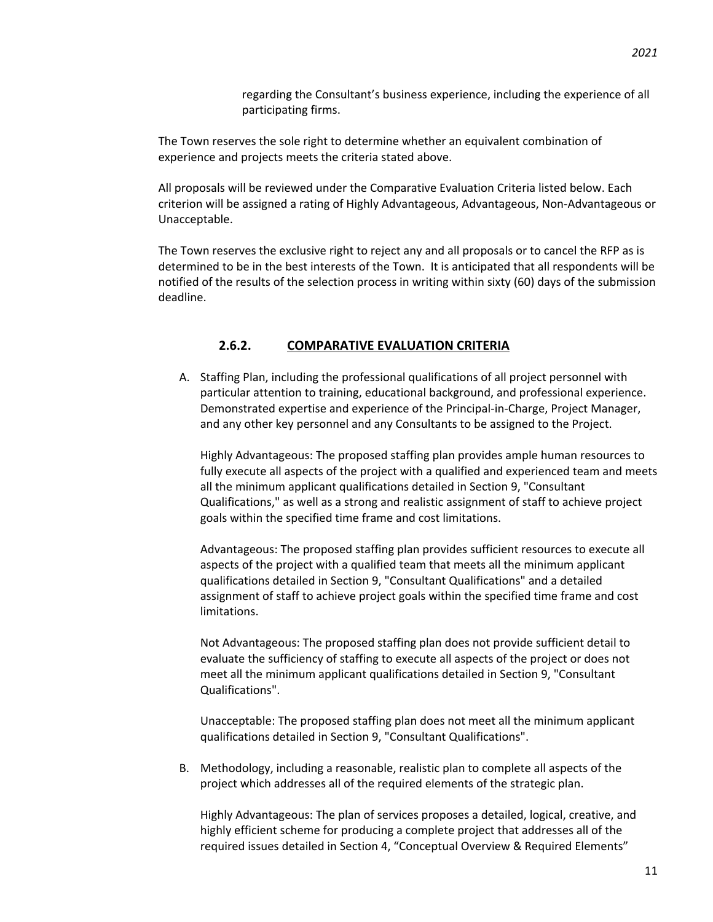regarding the Consultant's business experience, including the experience of all participating firms.

The Town reserves the sole right to determine whether an equivalent combination of experience and projects meets the criteria stated above.

All proposals will be reviewed under the Comparative Evaluation Criteria listed below. Each criterion will be assigned a rating of Highly Advantageous, Advantageous, Non-Advantageous or Unacceptable.

The Town reserves the exclusive right to reject any and all proposals or to cancel the RFP as is determined to be in the best interests of the Town. It is anticipated that all respondents will be notified of the results of the selection process in writing within sixty (60) days of the submission deadline.

### **2.6.2. COMPARATIVE EVALUATION CRITERIA**

A. Staffing Plan, including the professional qualifications of all project personnel with particular attention to training, educational background, and professional experience. Demonstrated expertise and experience of the Principal-in-Charge, Project Manager, and any other key personnel and any Consultants to be assigned to the Project.

Highly Advantageous: The proposed staffing plan provides ample human resources to fully execute all aspects of the project with a qualified and experienced team and meets all the minimum applicant qualifications detailed in Section 9, "Consultant Qualifications," as well as a strong and realistic assignment of staff to achieve project goals within the specified time frame and cost limitations.

Advantageous: The proposed staffing plan provides sufficient resources to execute all aspects of the project with a qualified team that meets all the minimum applicant qualifications detailed in Section 9, "Consultant Qualifications" and a detailed assignment of staff to achieve project goals within the specified time frame and cost limitations.

Not Advantageous: The proposed staffing plan does not provide sufficient detail to evaluate the sufficiency of staffing to execute all aspects of the project or does not meet all the minimum applicant qualifications detailed in Section 9, "Consultant Qualifications".

Unacceptable: The proposed staffing plan does not meet all the minimum applicant qualifications detailed in Section 9, "Consultant Qualifications".

B. Methodology, including a reasonable, realistic plan to complete all aspects of the project which addresses all of the required elements of the strategic plan.

Highly Advantageous: The plan of services proposes a detailed, logical, creative, and highly efficient scheme for producing a complete project that addresses all of the required issues detailed in Section 4, "Conceptual Overview & Required Elements"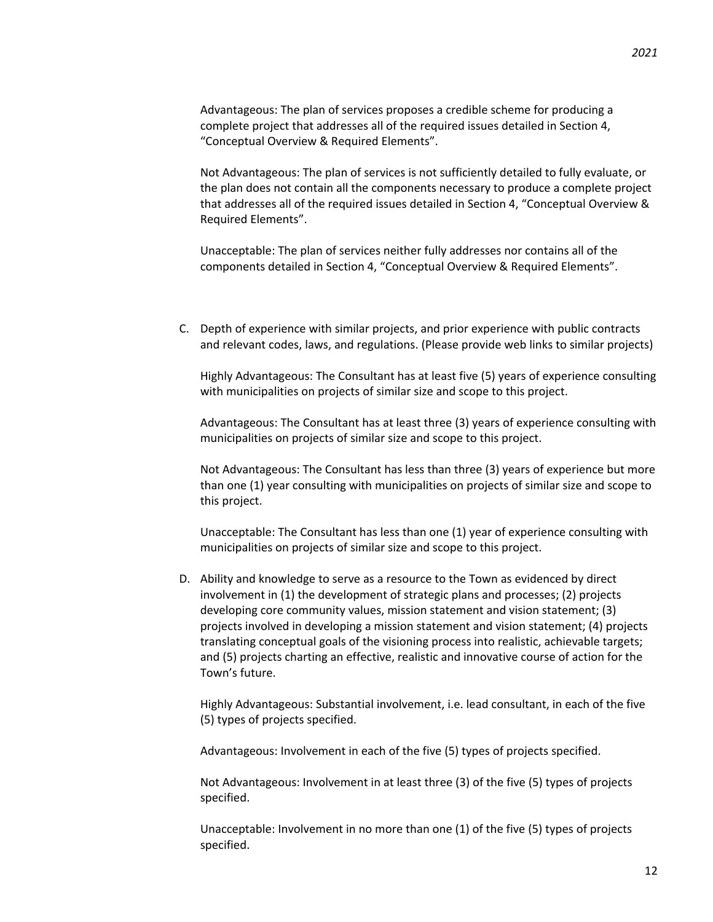*2021*

Advantageous: The plan of services proposes a credible scheme for producing a complete project that addresses all of the required issues detailed in Section 4, "Conceptual Overview & Required Elements".

Not Advantageous: The plan of services is not sufficiently detailed to fully evaluate, or the plan does not contain all the components necessary to produce a complete project that addresses all of the required issues detailed in Section 4, "Conceptual Overview & Required Elements".

Unacceptable: The plan of services neither fully addresses nor contains all of the components detailed in Section 4, "Conceptual Overview & Required Elements".

C. Depth of experience with similar projects, and prior experience with public contracts and relevant codes, laws, and regulations. (Please provide web links to similar projects)

Highly Advantageous: The Consultant has at least five (5) years of experience consulting with municipalities on projects of similar size and scope to this project.

Advantageous: The Consultant has at least three (3) years of experience consulting with municipalities on projects of similar size and scope to this project.

Not Advantageous: The Consultant has less than three (3) years of experience but more than one (1) year consulting with municipalities on projects of similar size and scope to this project.

Unacceptable: The Consultant has less than one (1) year of experience consulting with municipalities on projects of similar size and scope to this project.

D. Ability and knowledge to serve as a resource to the Town as evidenced by direct involvement in (1) the development of strategic plans and processes; (2) projects developing core community values, mission statement and vision statement; (3) projects involved in developing a mission statement and vision statement; (4) projects translating conceptual goals of the visioning process into realistic, achievable targets; and (5) projects charting an effective, realistic and innovative course of action for the Town's future.

Highly Advantageous: Substantial involvement, i.e. lead consultant, in each of the five (5) types of projects specified.

Advantageous: Involvement in each of the five (5) types of projects specified.

Not Advantageous: Involvement in at least three (3) of the five (5) types of projects specified.

Unacceptable: Involvement in no more than one (1) of the five (5) types of projects specified.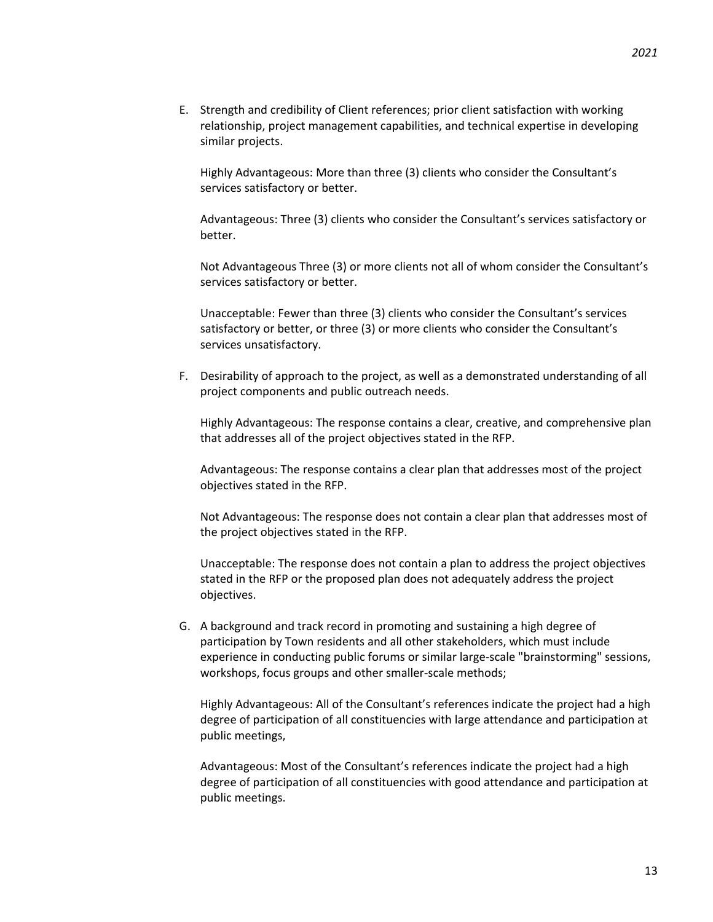E. Strength and credibility of Client references; prior client satisfaction with working relationship, project management capabilities, and technical expertise in developing similar projects.

Highly Advantageous: More than three (3) clients who consider the Consultant's services satisfactory or better.

Advantageous: Three (3) clients who consider the Consultant's services satisfactory or better.

Not Advantageous Three (3) or more clients not all of whom consider the Consultant's services satisfactory or better.

Unacceptable: Fewer than three (3) clients who consider the Consultant's services satisfactory or better, or three (3) or more clients who consider the Consultant's services unsatisfactory.

F. Desirability of approach to the project, as well as a demonstrated understanding of all project components and public outreach needs.

Highly Advantageous: The response contains a clear, creative, and comprehensive plan that addresses all of the project objectives stated in the RFP.

Advantageous: The response contains a clear plan that addresses most of the project objectives stated in the RFP.

Not Advantageous: The response does not contain a clear plan that addresses most of the project objectives stated in the RFP.

Unacceptable: The response does not contain a plan to address the project objectives stated in the RFP or the proposed plan does not adequately address the project objectives.

G. A background and track record in promoting and sustaining a high degree of participation by Town residents and all other stakeholders, which must include experience in conducting public forums or similar large-scale "brainstorming" sessions, workshops, focus groups and other smaller-scale methods;

Highly Advantageous: All of the Consultant's references indicate the project had a high degree of participation of all constituencies with large attendance and participation at public meetings,

Advantageous: Most of the Consultant's references indicate the project had a high degree of participation of all constituencies with good attendance and participation at public meetings.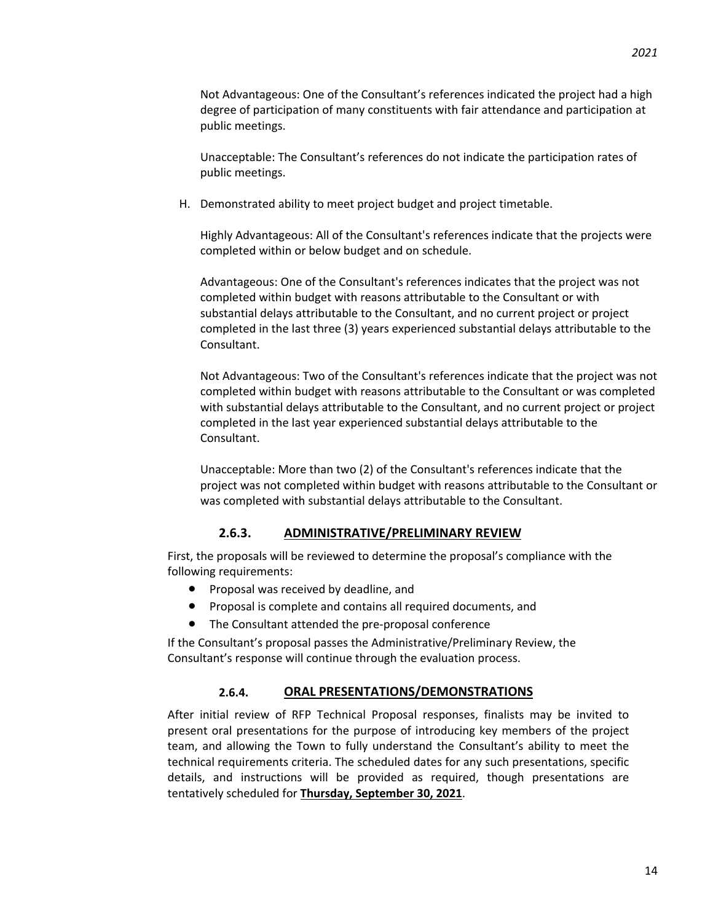Not Advantageous: One of the Consultant's references indicated the project had a high degree of participation of many constituents with fair attendance and participation at public meetings.

Unacceptable: The Consultant's references do not indicate the participation rates of public meetings.

H. Demonstrated ability to meet project budget and project timetable.

Highly Advantageous: All of the Consultant's references indicate that the projects were completed within or below budget and on schedule.

Advantageous: One of the Consultant's references indicates that the project was not completed within budget with reasons attributable to the Consultant or with substantial delays attributable to the Consultant, and no current project or project completed in the last three (3) years experienced substantial delays attributable to the Consultant.

Not Advantageous: Two of the Consultant's references indicate that the project was not completed within budget with reasons attributable to the Consultant or was completed with substantial delays attributable to the Consultant, and no current project or project completed in the last year experienced substantial delays attributable to the Consultant.

Unacceptable: More than two (2) of the Consultant's references indicate that the project was not completed within budget with reasons attributable to the Consultant or was completed with substantial delays attributable to the Consultant.

### **2.6.3. ADMINISTRATIVE/PRELIMINARY REVIEW**

First, the proposals will be reviewed to determine the proposal's compliance with the following requirements:

- Proposal was received by deadline, and
- Proposal is complete and contains all required documents, and
- The Consultant attended the pre-proposal conference

If the Consultant's proposal passes the Administrative/Preliminary Review, the Consultant's response will continue through the evaluation process.

### **2.6.4. ORAL PRESENTATIONS/DEMONSTRATIONS**

After initial review of RFP Technical Proposal responses, finalists may be invited to present oral presentations for the purpose of introducing key members of the project team, and allowing the Town to fully understand the Consultant's ability to meet the technical requirements criteria. The scheduled dates for any such presentations, specific details, and instructions will be provided as required, though presentations are tentatively scheduled for **Thursday, September 30, 2021**.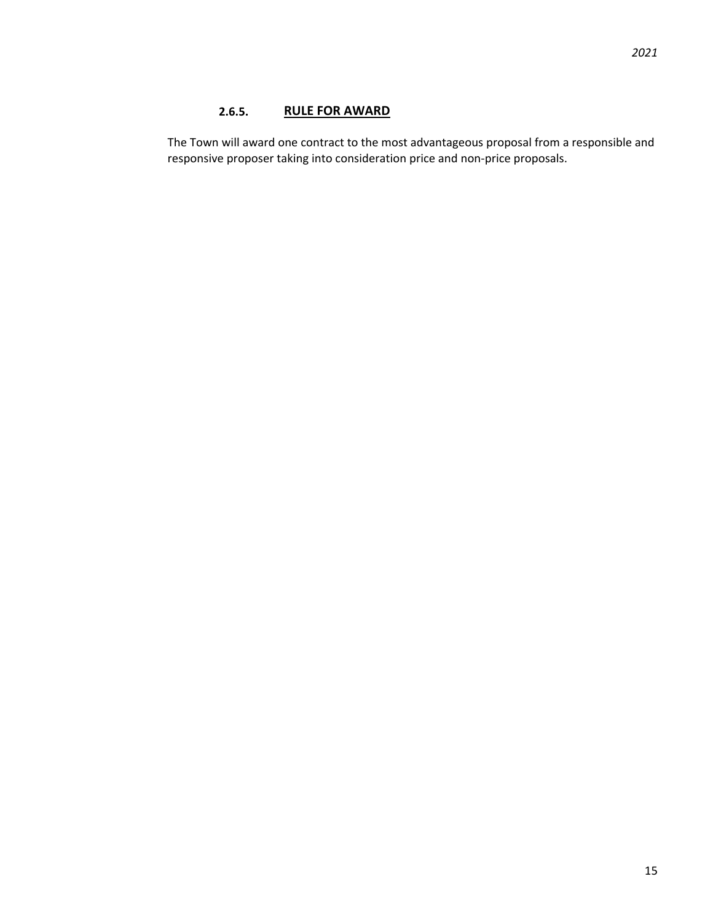# **2.6.5. RULE FOR AWARD**

The Town will award one contract to the most advantageous proposal from a responsible and responsive proposer taking into consideration price and non-price proposals.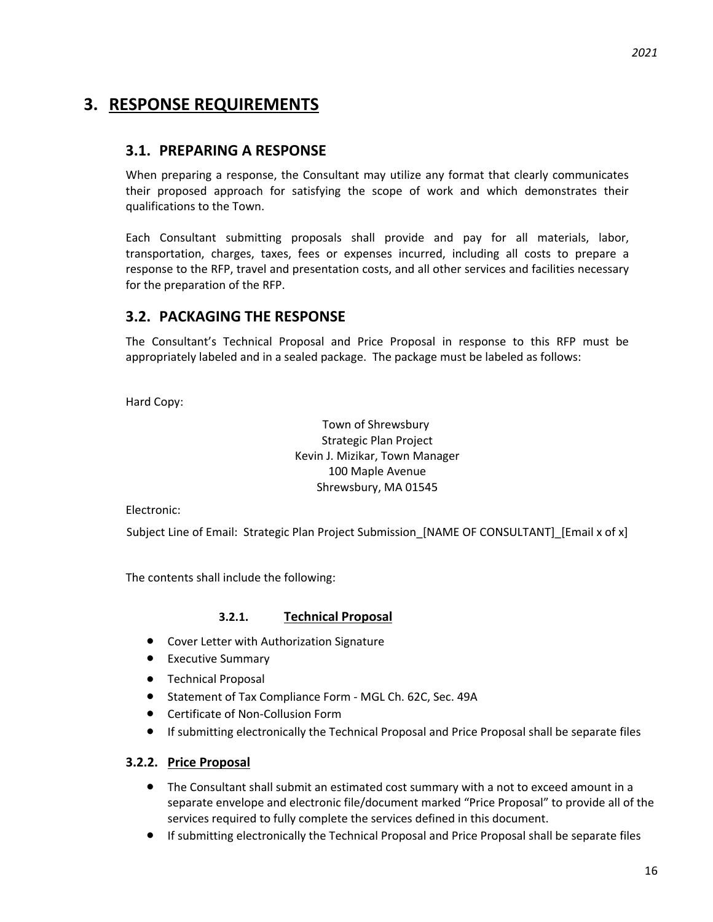# **3. RESPONSE REQUIREMENTS**

# **3.1. PREPARING A RESPONSE**

When preparing a response, the Consultant may utilize any format that clearly communicates their proposed approach for satisfying the scope of work and which demonstrates their qualifications to the Town.

Each Consultant submitting proposals shall provide and pay for all materials, labor, transportation, charges, taxes, fees or expenses incurred, including all costs to prepare a response to the RFP, travel and presentation costs, and all other services and facilities necessary for the preparation of the RFP.

# **3.2. PACKAGING THE RESPONSE**

The Consultant's Technical Proposal and Price Proposal in response to this RFP must be appropriately labeled and in a sealed package. The package must be labeled as follows:

Hard Copy:

Town of Shrewsbury Strategic Plan Project Kevin J. Mizikar, Town Manager 100 Maple Avenue Shrewsbury, MA 01545

Electronic:

Subject Line of Email: Strategic Plan Project Submission [NAME OF CONSULTANT] [Email x of x]

The contents shall include the following:

### **3.2.1. Technical Proposal**

- Cover Letter with Authorization Signature
- Executive Summary
- Technical Proposal
- Statement of Tax Compliance Form MGL Ch. 62C, Sec. 49A
- Certificate of Non-Collusion Form
- If submitting electronically the Technical Proposal and Price Proposal shall be separate files

## **3.2.2. Price Proposal**

- The Consultant shall submit an estimated cost summary with a not to exceed amount in a separate envelope and electronic file/document marked "Price Proposal" to provide all of the services required to fully complete the services defined in this document.
- If submitting electronically the Technical Proposal and Price Proposal shall be separate files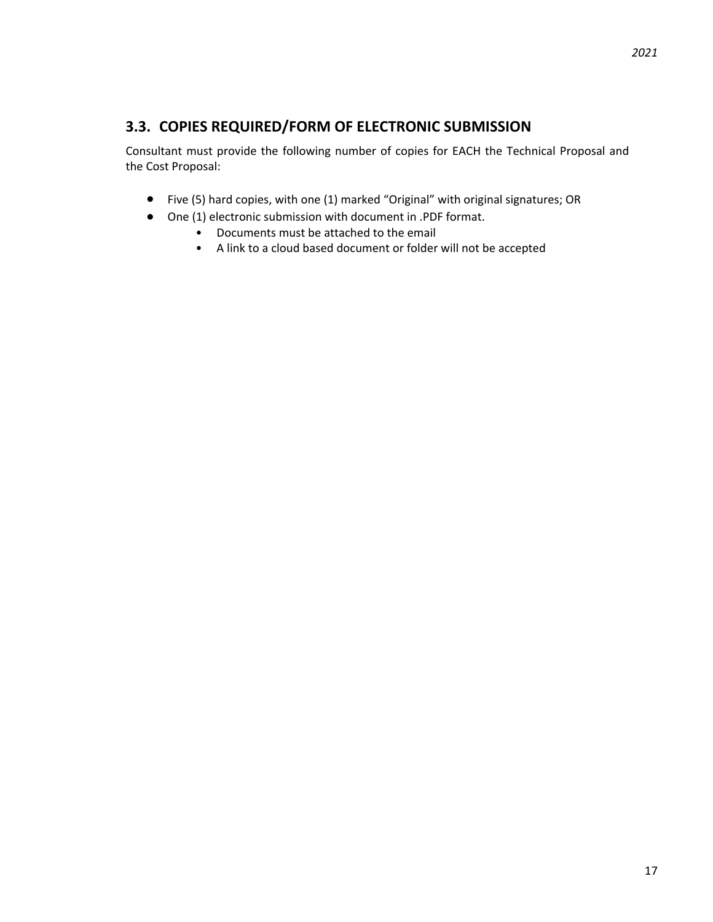# **3.3. COPIES REQUIRED/FORM OF ELECTRONIC SUBMISSION**

Consultant must provide the following number of copies for EACH the Technical Proposal and the Cost Proposal:

- Five (5) hard copies, with one (1) marked "Original" with original signatures; OR
- One (1) electronic submission with document in .PDF format.
	- Documents must be attached to the email
	- A link to a cloud based document or folder will not be accepted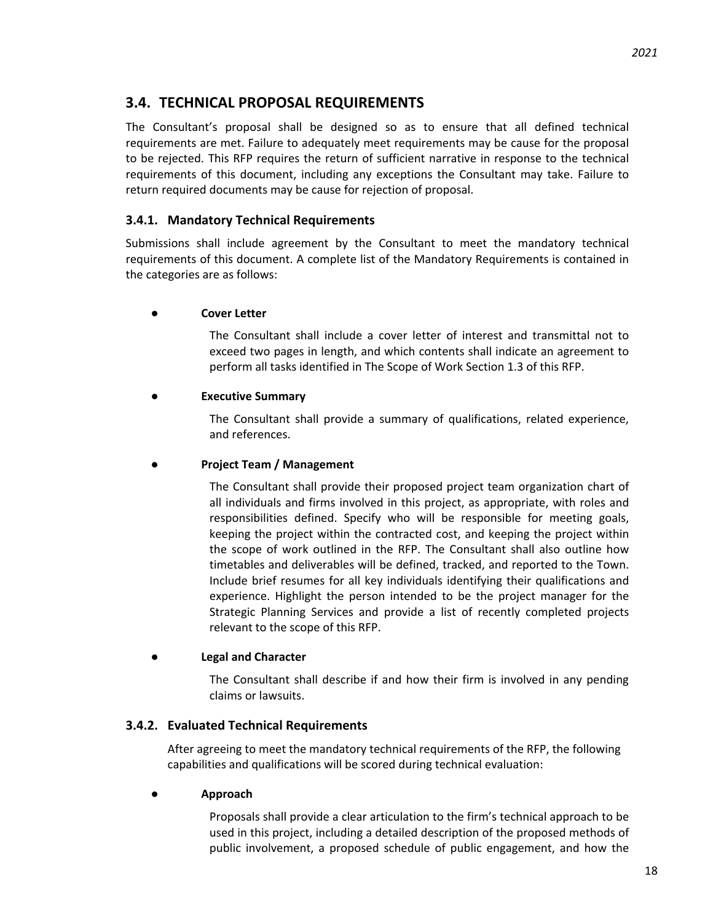# **3.4. TECHNICAL PROPOSAL REQUIREMENTS**

The Consultant's proposal shall be designed so as to ensure that all defined technical requirements are met. Failure to adequately meet requirements may be cause for the proposal to be rejected. This RFP requires the return of sufficient narrative in response to the technical requirements of this document, including any exceptions the Consultant may take. Failure to return required documents may be cause for rejection of proposal.

### **3.4.1. Mandatory Technical Requirements**

Submissions shall include agreement by the Consultant to meet the mandatory technical requirements of this document. A complete list of the Mandatory Requirements is contained in the categories are as follows:

### **● Cover Letter**

The Consultant shall include a cover letter of interest and transmittal not to exceed two pages in length, and which contents shall indicate an agreement to perform all tasks identified in The Scope of Work Section 1.3 of this RFP.

### **● Executive Summary**

The Consultant shall provide a summary of qualifications, related experience, and references.

### **● Project Team / Management**

The Consultant shall provide their proposed project team organization chart of all individuals and firms involved in this project, as appropriate, with roles and responsibilities defined. Specify who will be responsible for meeting goals, keeping the project within the contracted cost, and keeping the project within the scope of work outlined in the RFP. The Consultant shall also outline how timetables and deliverables will be defined, tracked, and reported to the Town. Include brief resumes for all key individuals identifying their qualifications and experience. Highlight the person intended to be the project manager for the Strategic Planning Services and provide a list of recently completed projects relevant to the scope of this RFP.

### **● Legal and Character**

The Consultant shall describe if and how their firm is involved in any pending claims or lawsuits.

### **3.4.2. Evaluated Technical Requirements**

After agreeing to meet the mandatory technical requirements of the RFP, the following capabilities and qualifications will be scored during technical evaluation:

### **● Approach**

Proposals shall provide a clear articulation to the firm's technical approach to be used in this project, including a detailed description of the proposed methods of public involvement, a proposed schedule of public engagement, and how the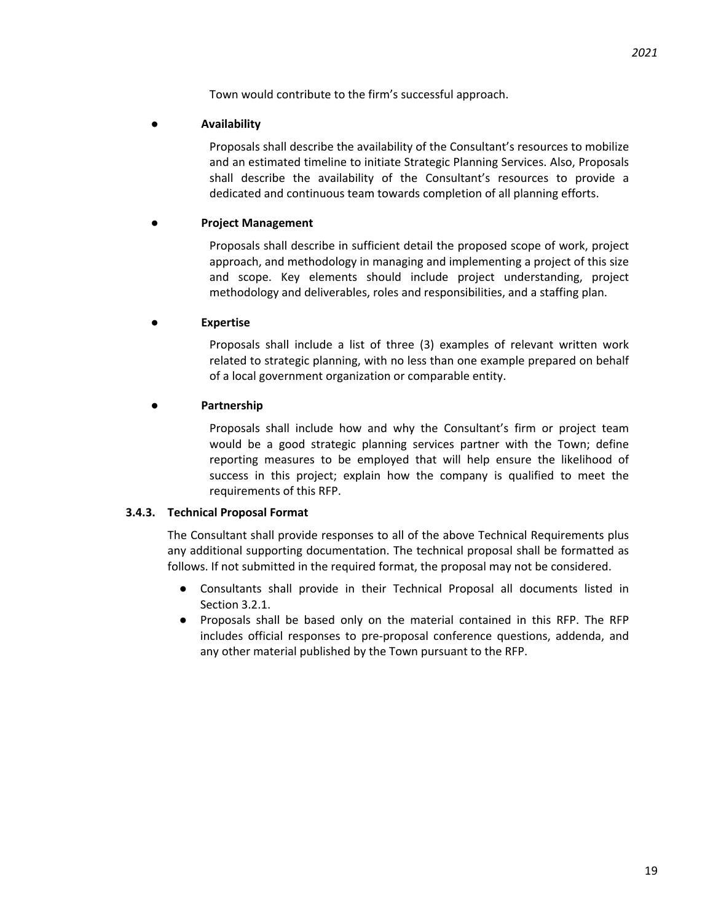Town would contribute to the firm's successful approach.

### **● Availability**

Proposals shall describe the availability of the Consultant's resources to mobilize and an estimated timeline to initiate Strategic Planning Services. Also, Proposals shall describe the availability of the Consultant's resources to provide a dedicated and continuous team towards completion of all planning efforts.

### **● Project Management**

Proposals shall describe in sufficient detail the proposed scope of work, project approach, and methodology in managing and implementing a project of this size and scope. Key elements should include project understanding, project methodology and deliverables, roles and responsibilities, and a staffing plan.

### **● Expertise**

Proposals shall include a list of three (3) examples of relevant written work related to strategic planning, with no less than one example prepared on behalf of a local government organization or comparable entity.

### **● Partnership**

Proposals shall include how and why the Consultant's firm or project team would be a good strategic planning services partner with the Town; define reporting measures to be employed that will help ensure the likelihood of success in this project; explain how the company is qualified to meet the requirements of this RFP.

### **3.4.3. Technical Proposal Format**

The Consultant shall provide responses to all of the above Technical Requirements plus any additional supporting documentation. The technical proposal shall be formatted as follows. If not submitted in the required format, the proposal may not be considered.

- Consultants shall provide in their Technical Proposal all documents listed in Section 3.2.1.
- Proposals shall be based only on the material contained in this RFP. The RFP includes official responses to pre-proposal conference questions, addenda, and any other material published by the Town pursuant to the RFP.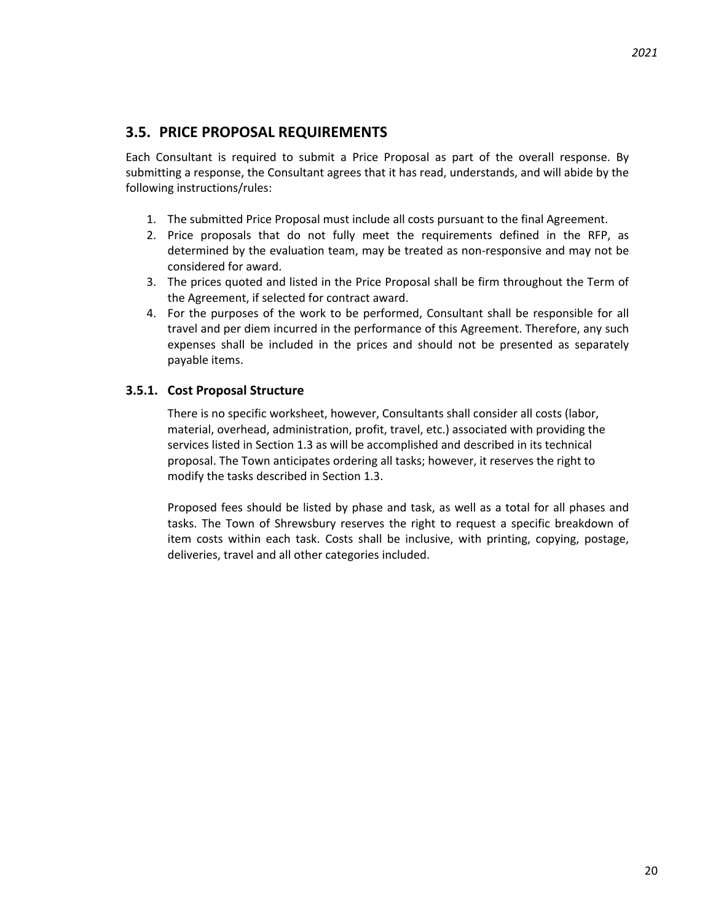# **3.5. PRICE PROPOSAL REQUIREMENTS**

Each Consultant is required to submit a Price Proposal as part of the overall response. By submitting a response, the Consultant agrees that it has read, understands, and will abide by the following instructions/rules:

- 1. The submitted Price Proposal must include all costs pursuant to the final Agreement.
- 2. Price proposals that do not fully meet the requirements defined in the RFP, as determined by the evaluation team, may be treated as non-responsive and may not be considered for award.
- 3. The prices quoted and listed in the Price Proposal shall be firm throughout the Term of the Agreement, if selected for contract award.
- 4. For the purposes of the work to be performed, Consultant shall be responsible for all travel and per diem incurred in the performance of this Agreement. Therefore, any such expenses shall be included in the prices and should not be presented as separately payable items.

# **3.5.1. Cost Proposal Structure**

There is no specific worksheet, however, Consultants shall consider all costs (labor, material, overhead, administration, profit, travel, etc.) associated with providing the services listed in Section 1.3 as will be accomplished and described in its technical proposal. The Town anticipates ordering all tasks; however, it reserves the right to modify the tasks described in Section 1.3.

Proposed fees should be listed by phase and task, as well as a total for all phases and tasks. The Town of Shrewsbury reserves the right to request a specific breakdown of item costs within each task. Costs shall be inclusive, with printing, copying, postage, deliveries, travel and all other categories included.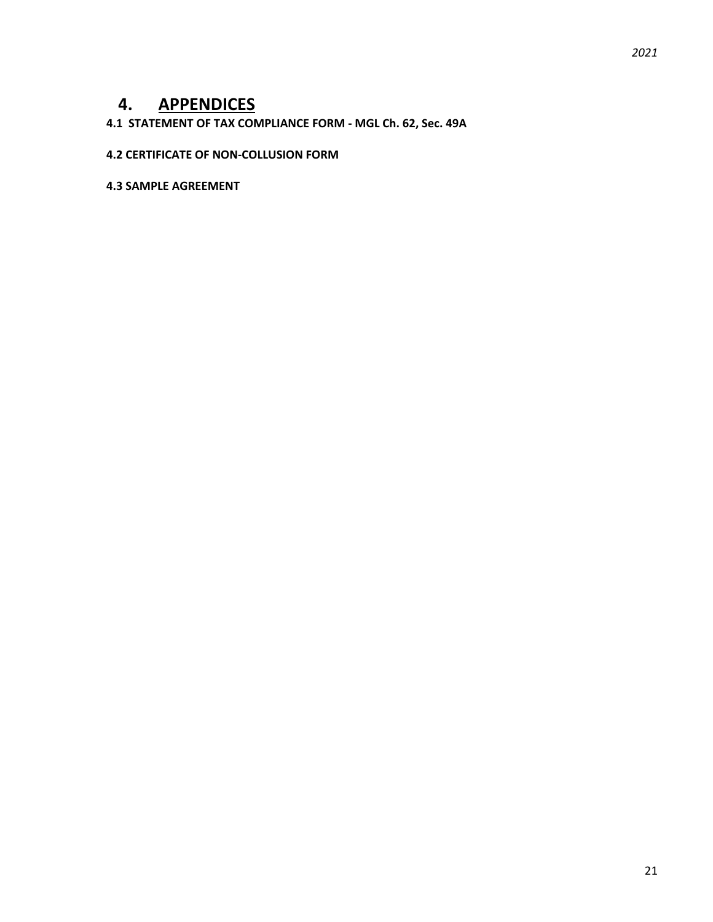# **4. APPENDICES**

# **4.1 STATEMENT OF TAX COMPLIANCE FORM - MGL Ch. 62, Sec. 49A**

### **4.2 CERTIFICATE OF NON-COLLUSION FORM**

### **4.3 SAMPLE AGREEMENT**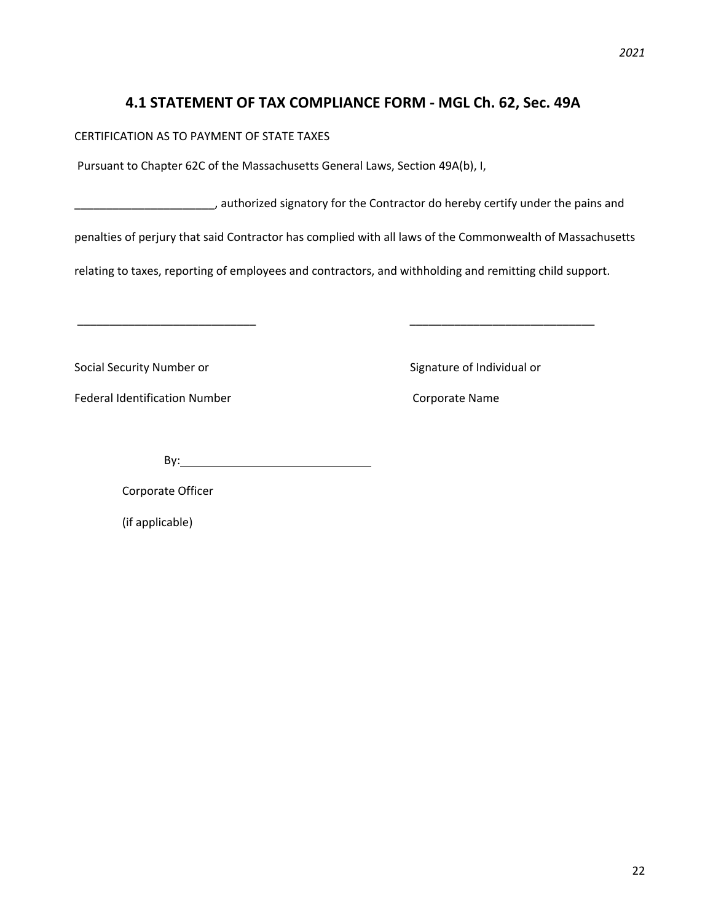# **4.1 STATEMENT OF TAX COMPLIANCE FORM - MGL Ch. 62, Sec. 49A**

CERTIFICATION AS TO PAYMENT OF STATE TAXES

Pursuant to Chapter 62C of the Massachusetts General Laws, Section 49A(b), I,

\_\_\_\_\_\_\_\_\_\_\_\_\_\_\_\_\_\_\_\_\_\_, authorized signatory for the Contractor do hereby certify under the pains and

penalties of perjury that said Contractor has complied with all laws of the Commonwealth of Massachusetts

\_\_\_\_\_\_\_\_\_\_\_\_\_\_\_\_\_\_\_\_\_\_\_\_\_\_\_\_ \_\_\_\_\_\_\_\_\_\_\_\_\_\_\_\_\_\_\_\_\_\_\_\_\_\_\_\_\_

relating to taxes, reporting of employees and contractors, and withholding and remitting child support.

Social Security Number or Signature of Individual or

Federal Identification Number Corporate Name

By:

Corporate Officer

(if applicable)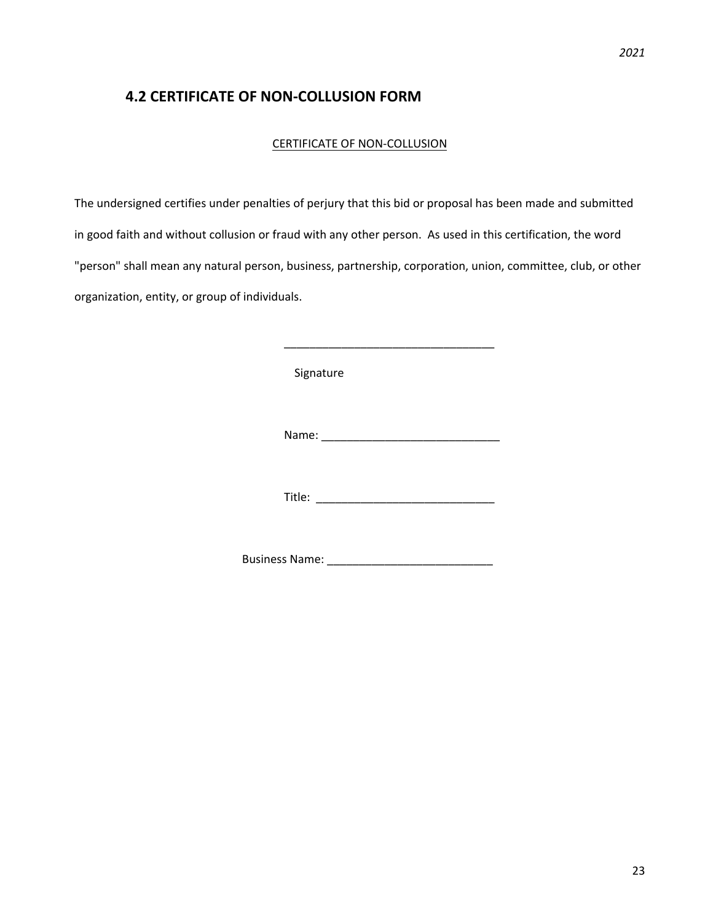# **4.2 CERTIFICATE OF NON-COLLUSION FORM**

### CERTIFICATE OF NON-COLLUSION

 The undersigned certifies under penalties of perjury that this bid or proposal has been made and submitted in good faith and without collusion or fraud with any other person. As used in this certification, the word "person" shall mean any natural person, business, partnership, corporation, union, committee, club, or other organization, entity, or group of individuals.

Signature

Name: \_\_\_\_\_\_\_\_\_\_\_\_\_\_\_\_\_\_\_\_\_\_\_\_\_\_\_\_

\_\_\_\_\_\_\_\_\_\_\_\_\_\_\_\_\_\_\_\_\_\_\_\_\_\_\_\_\_\_\_\_\_

Title: \_\_\_\_\_\_\_\_\_\_\_\_\_\_\_\_\_\_\_\_\_\_\_\_\_\_\_\_

Business Name: \_\_\_\_\_\_\_\_\_\_\_\_\_\_\_\_\_\_\_\_\_\_\_\_\_\_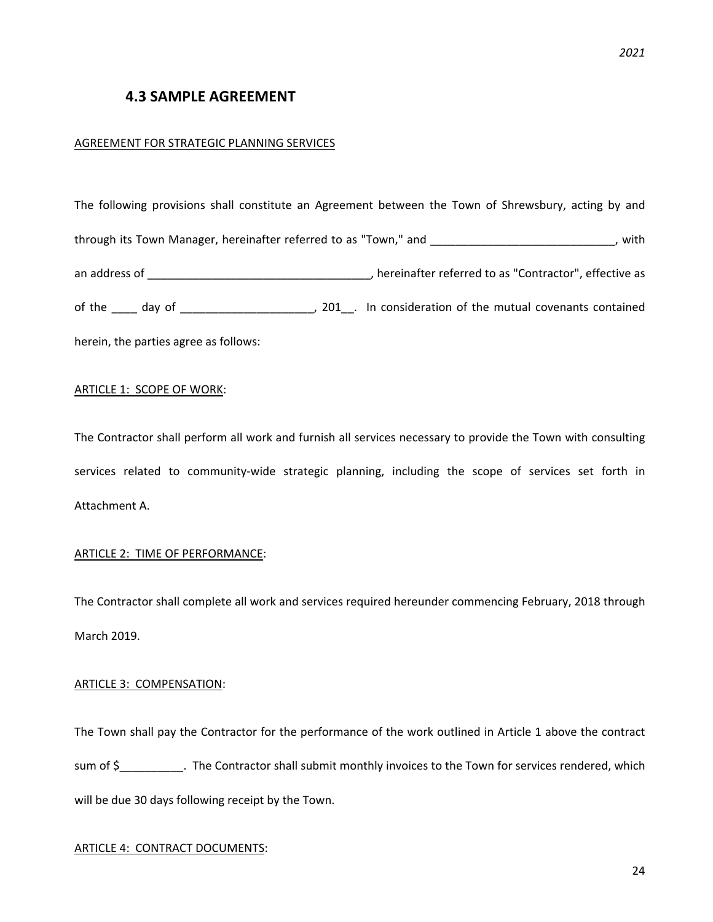# **4.3 SAMPLE AGREEMENT**

### AGREEMENT FOR STRATEGIC PLANNING SERVICES

The following provisions shall constitute an Agreement between the Town of Shrewsbury, acting by and through its Town Manager, hereinafter referred to as "Town," and \_\_\_\_\_\_\_\_\_\_\_\_\_\_\_\_\_\_\_\_\_\_\_\_\_\_\_\_\_\_\_\_, with an address of \_\_\_\_\_\_\_\_\_\_\_\_\_\_\_\_\_\_\_\_\_\_\_\_\_\_\_\_\_\_\_\_\_\_\_, hereinafter referred to as "Contractor", effective as of the day of day defined and the mutual covenants contained defined and the mutual covenants contained herein, the parties agree as follows:

### ARTICLE 1: SCOPE OF WORK:

The Contractor shall perform all work and furnish all services necessary to provide the Town with consulting services related to community-wide strategic planning, including the scope of services set forth in Attachment A.

### ARTICLE 2: TIME OF PERFORMANCE:

The Contractor shall complete all work and services required hereunder commencing February, 2018 through March 2019.

### ARTICLE 3: COMPENSATION:

The Town shall pay the Contractor for the performance of the work outlined in Article 1 above the contract sum of \$\_\_\_\_\_\_\_\_\_\_. The Contractor shall submit monthly invoices to the Town for services rendered, which will be due 30 days following receipt by the Town.

### ARTICLE 4: CONTRACT DOCUMENTS: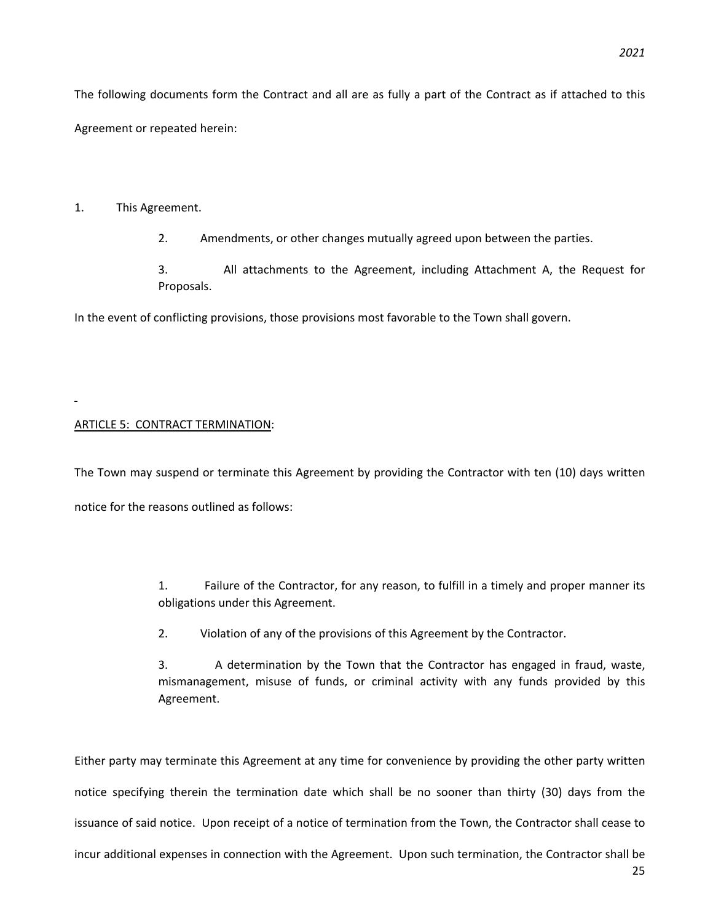### 1. This Agreement.

2. Amendments, or other changes mutually agreed upon between the parties.

3. All attachments to the Agreement, including Attachment A, the Request for Proposals.

In the event of conflicting provisions, those provisions most favorable to the Town shall govern.

### ARTICLE 5: CONTRACT TERMINATION:

The Town may suspend or terminate this Agreement by providing the Contractor with ten (10) days written notice for the reasons outlined as follows:

> 1. Failure of the Contractor, for any reason, to fulfill in a timely and proper manner its obligations under this Agreement.

2. Violation of any of the provisions of this Agreement by the Contractor.

3. A determination by the Town that the Contractor has engaged in fraud, waste, mismanagement, misuse of funds, or criminal activity with any funds provided by this Agreement.

Either party may terminate this Agreement at any time for convenience by providing the other party written notice specifying therein the termination date which shall be no sooner than thirty (30) days from the issuance of said notice. Upon receipt of a notice of termination from the Town, the Contractor shall cease to incur additional expenses in connection with the Agreement. Upon such termination, the Contractor shall be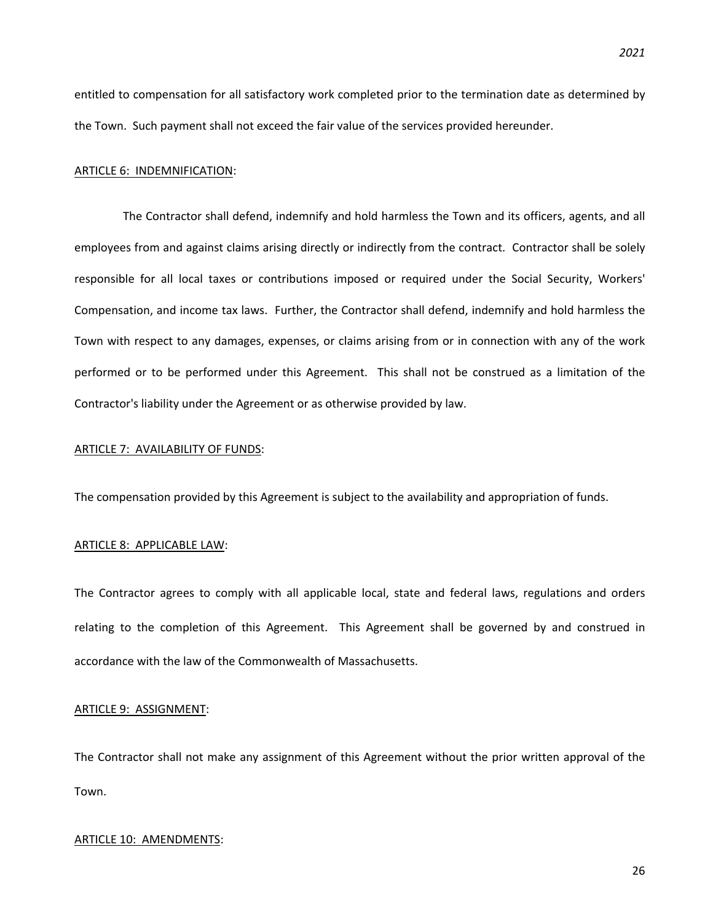entitled to compensation for all satisfactory work completed prior to the termination date as determined by the Town. Such payment shall not exceed the fair value of the services provided hereunder.

### ARTICLE 6: INDEMNIFICATION:

The Contractor shall defend, indemnify and hold harmless the Town and its officers, agents, and all employees from and against claims arising directly or indirectly from the contract. Contractor shall be solely responsible for all local taxes or contributions imposed or required under the Social Security, Workers' Compensation, and income tax laws. Further, the Contractor shall defend, indemnify and hold harmless the Town with respect to any damages, expenses, or claims arising from or in connection with any of the work performed or to be performed under this Agreement. This shall not be construed as a limitation of the Contractor's liability under the Agreement or as otherwise provided by law.

### ARTICLE 7: AVAILABILITY OF FUNDS:

The compensation provided by this Agreement is subject to the availability and appropriation of funds.

### ARTICLE 8: APPLICABLE LAW:

The Contractor agrees to comply with all applicable local, state and federal laws, regulations and orders relating to the completion of this Agreement. This Agreement shall be governed by and construed in accordance with the law of the Commonwealth of Massachusetts.

### ARTICLE 9: ASSIGNMENT:

The Contractor shall not make any assignment of this Agreement without the prior written approval of the Town.

### ARTICLE 10: AMENDMENTS: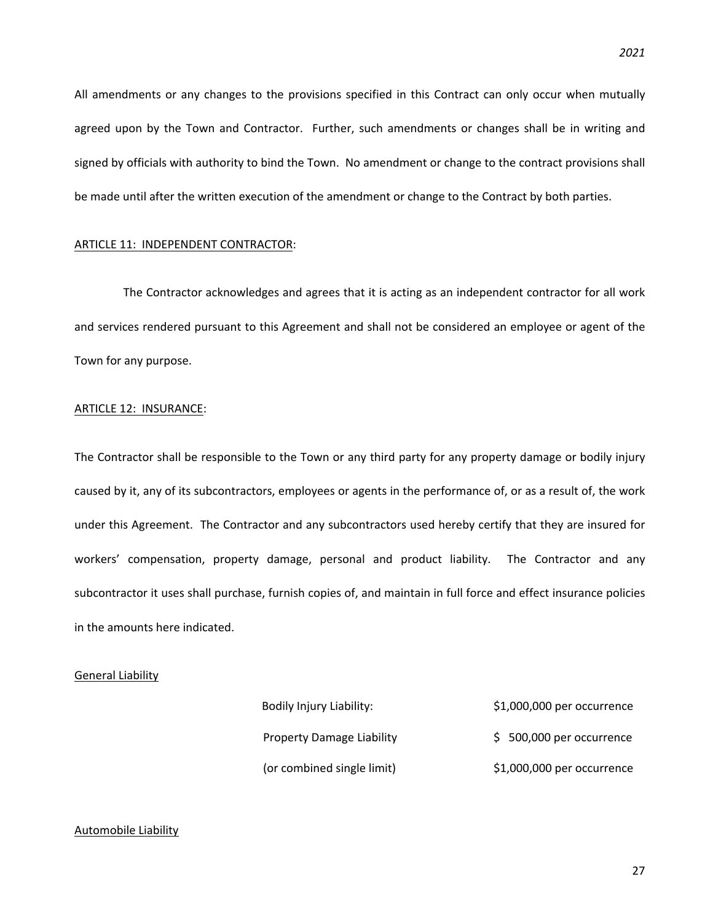All amendments or any changes to the provisions specified in this Contract can only occur when mutually agreed upon by the Town and Contractor. Further, such amendments or changes shall be in writing and signed by officials with authority to bind the Town. No amendment or change to the contract provisions shall be made until after the written execution of the amendment or change to the Contract by both parties.

### ARTICLE 11: INDEPENDENT CONTRACTOR:

The Contractor acknowledges and agrees that it is acting as an independent contractor for all work and services rendered pursuant to this Agreement and shall not be considered an employee or agent of the Town for any purpose.

### ARTICLE 12: INSURANCE:

The Contractor shall be responsible to the Town or any third party for any property damage or bodily injury caused by it, any of its subcontractors, employees or agents in the performance of, or as a result of, the work under this Agreement. The Contractor and any subcontractors used hereby certify that they are insured for workers' compensation, property damage, personal and product liability. The Contractor and any subcontractor it uses shall purchase, furnish copies of, and maintain in full force and effect insurance policies in the amounts here indicated.

### General Liability

| Bodily Injury Liability:         | \$1,000,000 per occurrence |
|----------------------------------|----------------------------|
| <b>Property Damage Liability</b> | \$500,000 per occurrence   |
| (or combined single limit)       | \$1,000,000 per occurrence |

### Automobile Liability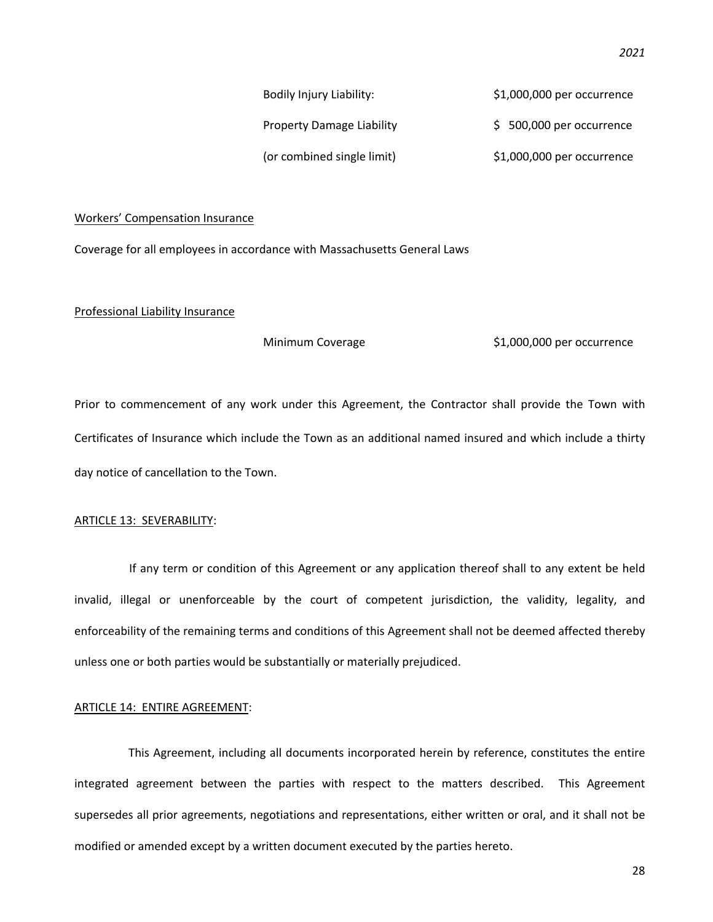| Bodily Injury Liability:         | \$1,000,000 per occurrence |
|----------------------------------|----------------------------|
| <b>Property Damage Liability</b> | $$500,000$ per occurrence  |
| (or combined single limit)       | \$1,000,000 per occurrence |

### Workers' Compensation Insurance

Coverage for all employees in accordance with Massachusetts General Laws

### Professional Liability Insurance

Minimum Coverage  $$1,000,000$  per occurrence

Prior to commencement of any work under this Agreement, the Contractor shall provide the Town with Certificates of Insurance which include the Town as an additional named insured and which include a thirty day notice of cancellation to the Town.

### ARTICLE 13: SEVERABILITY:

If any term or condition of this Agreement or any application thereof shall to any extent be held invalid, illegal or unenforceable by the court of competent jurisdiction, the validity, legality, and enforceability of the remaining terms and conditions of this Agreement shall not be deemed affected thereby unless one or both parties would be substantially or materially prejudiced.

### ARTICLE 14: ENTIRE AGREEMENT:

This Agreement, including all documents incorporated herein by reference, constitutes the entire integrated agreement between the parties with respect to the matters described. This Agreement supersedes all prior agreements, negotiations and representations, either written or oral, and it shall not be modified or amended except by a written document executed by the parties hereto.